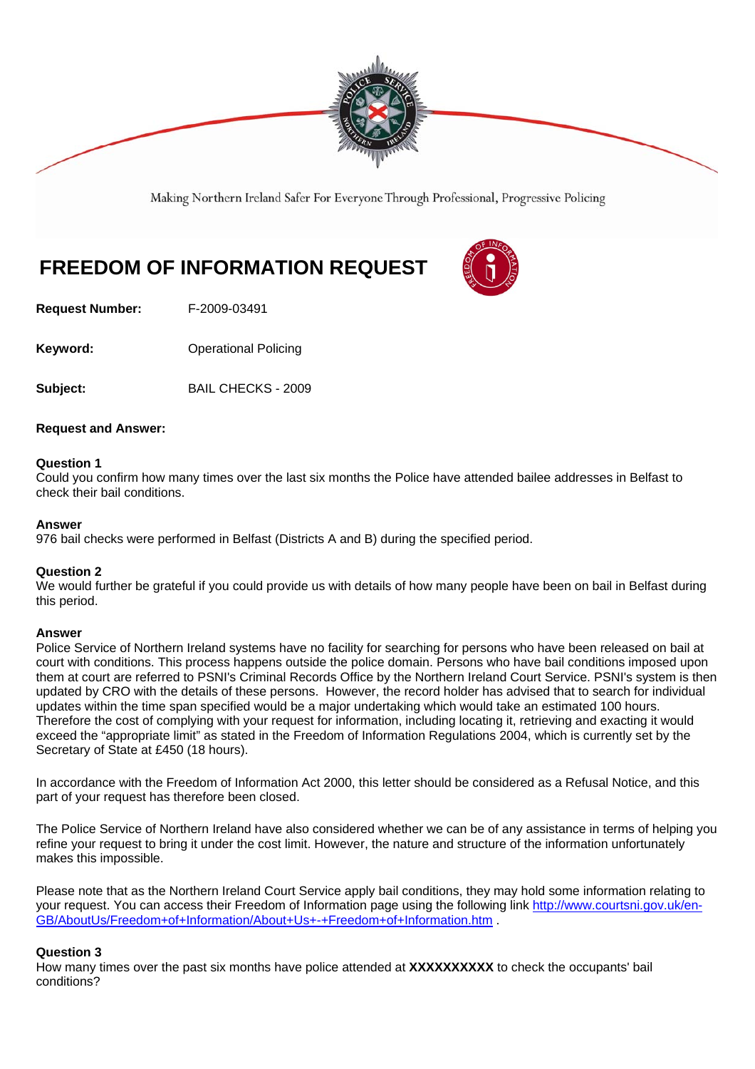

Making Northern Ireland Safer For Everyone Through Professional, Progressive Policing

# **FREEDOM OF INFORMATION REQUEST**

**Request Number:** F-2009-03491

**Keyword: Conservery Operational Policing** 

**Subject:** BAIL CHECKS - 2009

# **Request and Answer:**

### **Question 1**

Could you confirm how many times over the last six months the Police have attended bailee addresses in Belfast to check their bail conditions.

### **Answer**

976 bail checks were performed in Belfast (Districts A and B) during the specified period.

# **Question 2**

We would further be grateful if you could provide us with details of how many people have been on bail in Belfast during this period.

### **Answer**

Police Service of Northern Ireland systems have no facility for searching for persons who have been released on bail at court with conditions. This process happens outside the police domain. Persons who have bail conditions imposed upon them at court are referred to PSNI's Criminal Records Office by the Northern Ireland Court Service. PSNI's system is then updated by CRO with the details of these persons. However, the record holder has advised that to search for individual updates within the time span specified would be a major undertaking which would take an estimated 100 hours. Therefore the cost of complying with your request for information, including locating it, retrieving and exacting it would exceed the "appropriate limit" as stated in the Freedom of Information Regulations 2004, which is currently set by the Secretary of State at £450 (18 hours).

In accordance with the Freedom of Information Act 2000, this letter should be considered as a Refusal Notice, and this part of your request has therefore been closed.

The Police Service of Northern Ireland have also considered whether we can be of any assistance in terms of helping you refine your request to bring it under the cost limit. However, the nature and structure of the information unfortunately makes this impossible.

Please note that as the Northern Ireland Court Service apply bail conditions, they may hold some information relating to your request. You can access their Freedom of Information page using the following link http://www.courtsni.gov.uk/en-GB/AboutUs/Freedom+of+Information/About+Us+-+Freedom+of+Information.htm .

# **Question 3**

How many times over the past six months have police attended at **XXXXXXXXXX** to check the occupants' bail conditions?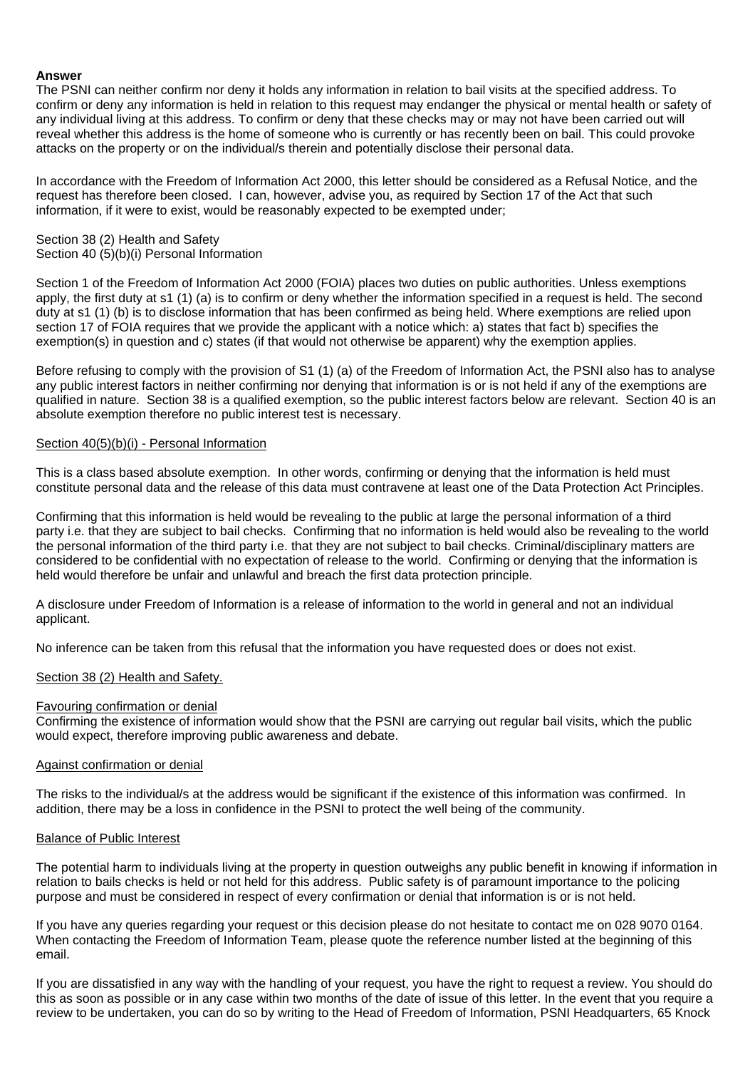### **Answer**

The PSNI can neither confirm nor deny it holds any information in relation to bail visits at the specified address. To confirm or deny any information is held in relation to this request may endanger the physical or mental health or safety of any individual living at this address. To confirm or deny that these checks may or may not have been carried out will reveal whether this address is the home of someone who is currently or has recently been on bail. This could provoke attacks on the property or on the individual/s therein and potentially disclose their personal data.

In accordance with the Freedom of Information Act 2000, this letter should be considered as a Refusal Notice, and the request has therefore been closed. I can, however, advise you, as required by Section 17 of the Act that such information, if it were to exist, would be reasonably expected to be exempted under;

# Section 38 (2) Health and Safety

Section 40 (5)(b)(i) Personal Information

Section 1 of the Freedom of Information Act 2000 (FOIA) places two duties on public authorities. Unless exemptions apply, the first duty at s1 (1) (a) is to confirm or deny whether the information specified in a request is held. The second duty at s1 (1) (b) is to disclose information that has been confirmed as being held. Where exemptions are relied upon section 17 of FOIA requires that we provide the applicant with a notice which: a) states that fact b) specifies the exemption(s) in question and c) states (if that would not otherwise be apparent) why the exemption applies.

Before refusing to comply with the provision of S1 (1) (a) of the Freedom of Information Act, the PSNI also has to analyse any public interest factors in neither confirming nor denying that information is or is not held if any of the exemptions are qualified in nature. Section 38 is a qualified exemption, so the public interest factors below are relevant. Section 40 is an absolute exemption therefore no public interest test is necessary.

# Section  $40(5)(b)(i)$  - Personal Information

This is a class based absolute exemption. In other words, confirming or denying that the information is held must constitute personal data and the release of this data must contravene at least one of the Data Protection Act Principles.

Confirming that this information is held would be revealing to the public at large the personal information of a third party i.e. that they are subject to bail checks. Confirming that no information is held would also be revealing to the world the personal information of the third party i.e. that they are not subject to bail checks. Criminal/disciplinary matters are considered to be confidential with no expectation of release to the world. Confirming or denying that the information is held would therefore be unfair and unlawful and breach the first data protection principle.

A disclosure under Freedom of Information is a release of information to the world in general and not an individual applicant.

No inference can be taken from this refusal that the information you have requested does or does not exist.

# Section 38 (2) Health and Safety.

### Favouring confirmation or denial

Confirming the existence of information would show that the PSNI are carrying out regular bail visits, which the public would expect, therefore improving public awareness and debate.

### Against confirmation or denial

The risks to the individual/s at the address would be significant if the existence of this information was confirmed. In addition, there may be a loss in confidence in the PSNI to protect the well being of the community.

### Balance of Public Interest

The potential harm to individuals living at the property in question outweighs any public benefit in knowing if information in relation to bails checks is held or not held for this address. Public safety is of paramount importance to the policing purpose and must be considered in respect of every confirmation or denial that information is or is not held.

If you have any queries regarding your request or this decision please do not hesitate to contact me on 028 9070 0164. When contacting the Freedom of Information Team, please quote the reference number listed at the beginning of this email.

If you are dissatisfied in any way with the handling of your request, you have the right to request a review. You should do this as soon as possible or in any case within two months of the date of issue of this letter. In the event that you require a review to be undertaken, you can do so by writing to the Head of Freedom of Information, PSNI Headquarters, 65 Knock